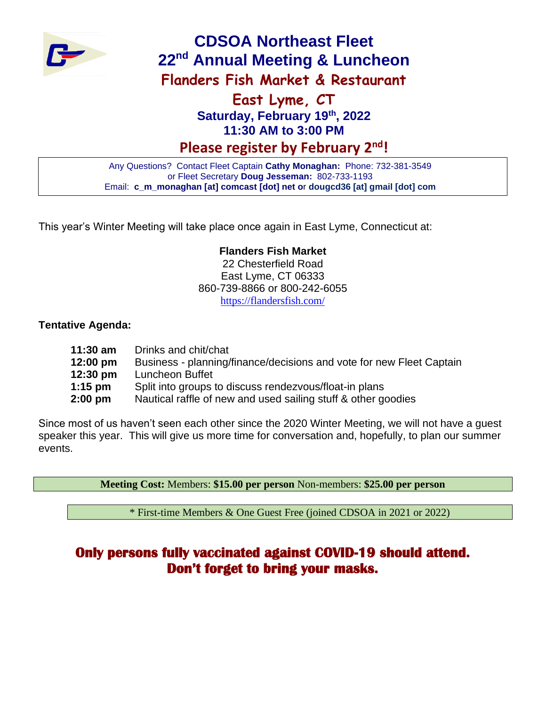

# **CDSOA Northeast Fleet 22nd Annual Meeting & Luncheon Flanders Fish Market & Restaurant**

## **East Lyme, CT Saturday, February 19th, 2022 11:30 AM to 3:00 PM**

**Please register by February 2 nd!**

Any Questions? Contact Fleet Captain **Cathy Monaghan:** Phone: 732-381-3549 or Fleet Secretary **Doug Jesseman:** 802-733-1193 Email: **c\_m\_monaghan [at] comcast [dot] net o**r **dougcd36 [at] gmail [dot] com**

This year's Winter Meeting will take place once again in East Lyme, Connecticut at:

#### **Flanders Fish Market**

22 Chesterfield Road East Lyme, CT 06333 860-739-8866 or 800-242-6055 <https://flandersfish.com/>

#### **Tentative Agenda:**

| 11:30 am | Drinks and chit/chat                                                 |
|----------|----------------------------------------------------------------------|
| 12:00 pm | Business - planning/finance/decisions and vote for new Fleet Captain |
| 12:30 pm | Luncheon Buffet                                                      |
| 1:15 pm  | Split into groups to discuss rendezvous/float-in plans               |
| 2:00 pm  | Nautical raffle of new and used sailing stuff & other goodies        |

Since most of us haven't seen each other since the 2020 Winter Meeting, we will not have a guest speaker this year. This will give us more time for conversation and, hopefully, to plan our summer events.

**Meeting Cost:** Members: **\$15.00 per person** Non-members: **\$25.00 per person**

\* First-time Members & One Guest Free (joined CDSOA in 2021 or 2022)

## **Only persons fully vaccinated against COVID-19 should attend. Don't forget to bring your masks.**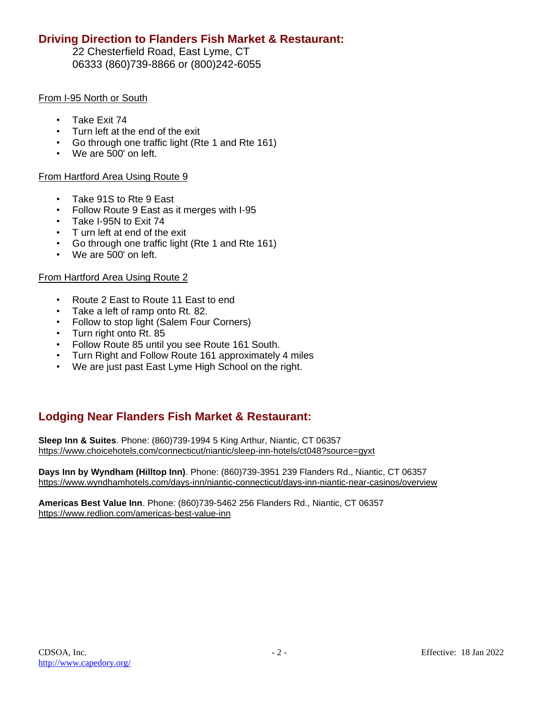#### **Driving Direction to Flanders Fish Market & Restaurant:**

22 Chesterfield Road, East Lyme, CT 06333 (860)739-8866 or (800)242-6055

#### From I-95 North or South

- Take Exit 74
- Turn left at the end of the exit
- Go through one traffic light (Rte 1 and Rte 161)
- We are 500' on left.

#### From Hartford Area Using Route 9

- Take 91S to Rte 9 East
- Follow Route 9 East as it merges with I-95
- Take I-95N to Exit 74
- T urn left at end of the exit
- Go through one traffic light (Rte 1 and Rte 161)
- We are 500' on left.

#### From Hartford Area Using Route 2

- Route 2 East to Route 11 East to end
- Take a left of ramp onto Rt. 82.
- Follow to stop light (Salem Four Corners)
- Turn right onto Rt. 85
- Follow Route 85 until you see Route 161 South.
- Turn Right and Follow Route 161 approximately 4 miles
- We are just past East Lyme High School on the right.

#### **Lodging Near Flanders Fish Market & Restaurant:**

**Sleep Inn & Suites**. Phone: (860)739-1994 5 King Arthur, Niantic, CT 06357 <https://www.choicehotels.com/connecticut/niantic/sleep-inn-hotels/ct048?source=gyxt>

**Days Inn by Wyndham (Hilltop Inn)**. Phone: (860)739-3951 239 Flanders Rd., Niantic, CT 06357 <https://www.wyndhamhotels.com/days-inn/niantic-connecticut/days-inn-niantic-near-casinos/overview>

**Americas Best Value Inn**. Phone: (860)739-5462 256 Flanders Rd., Niantic, CT 06357 <https://www.redlion.com/americas-best-value-inn>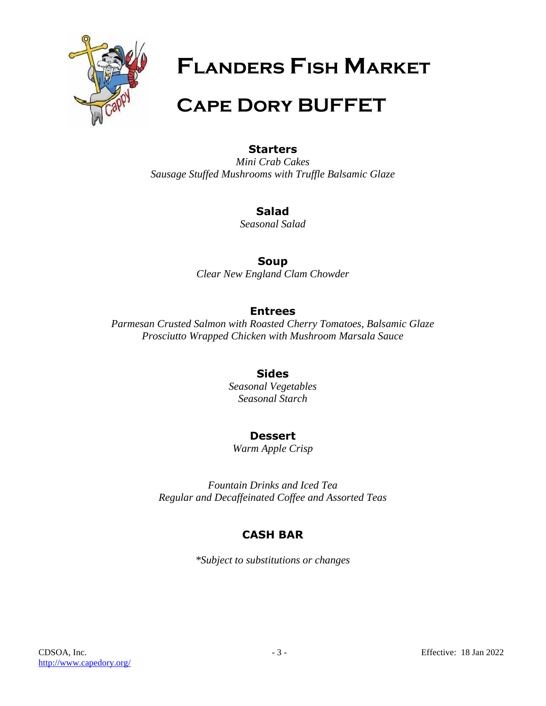

**Flanders Fish Market**

# **Cape Dory BUFFET**

#### **Starters**

*Mini Crab Cakes Sausage Stuffed Mushrooms with Truffle Balsamic Glaze*

### **Salad**

*Seasonal Salad*

#### **Soup**

*Clear New England Clam Chowder*

### **Entrees**

*Parmesan Crusted Salmon with Roasted Cherry Tomatoes, Balsamic Glaze Prosciutto Wrapped Chicken with Mushroom Marsala Sauce*

### **Sides**

*Seasonal Vegetables Seasonal Starch*

### **Dessert**

*Warm Apple Crisp*

*Fountain Drinks and Iced Tea Regular and Decaffeinated Coffee and Assorted Teas*

## **CASH BAR**

*\*Subject to substitutions or changes*